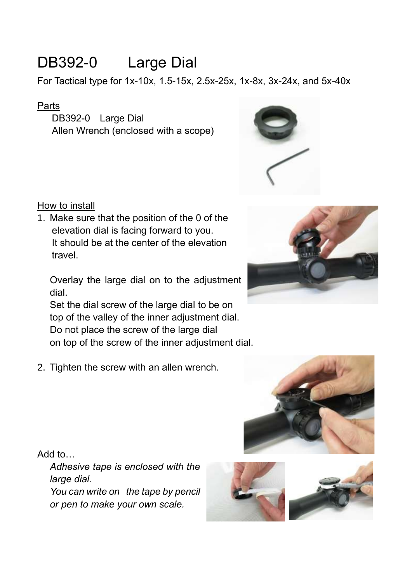# DB392-0 Large Dial

For Tactical type for 1x-10x, 1.5-15x, 2.5x-25x, 1x-8x, 3x-24x, and 5x-40x

### Parts

DB392-0 Large Dial Allen Wrench (enclosed with a scope)





1. Make sure that the position of the 0 of the elevation dial is facing forward to you. It should be at the center of the elevation travel.

Overlay the large dial on to the adjustment dial.

Set the dial screw of the large dial to be on top of the valley of the inner adjustment dial. Do not place the screw of the large dial on top of the screw of the inner adjustment dial.

2. Tighten the screw with an allen wrench.





Add to…

*Adhesive tape is enclosed with the large dial. You can write on the tape by pencil or pen to make your own scale.*